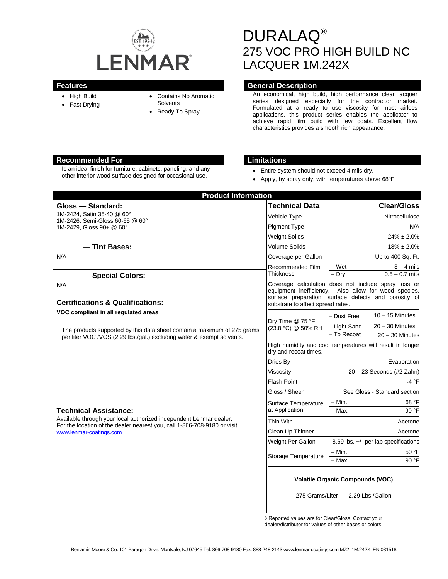

- High Build
- Fast Drying
- Contains No Aromatic
- **Solvents**
- Ready To Spray

# DURALAQ® 275 VOC PRO HIGH BUILD NC LACQUER 1M.242X

## **Features General Description**

An economical, high build, high performance clear lacquer series designed especially for the contractor market. Formulated at a ready to use viscosity for most airless applications, this product series enables the applicator to achieve rapid film build with few coats. Excellent flow characteristics provides a smooth rich appearance.

## **Recommended For Limitations**

Is an ideal finish for furniture, cabinets, paneling, and any Is an ideal finish for furniture, cabinets, paneling, and any **• Entire system should not exceed 4 mils dry.**<br>
other interior wood surface designed for occasional use.

- 
- Apply, by spray only, with temperatures above 68ºF.

| <b>Product Information</b>                                                                                                                                                |                                                                                    |                                                                                                              |
|---------------------------------------------------------------------------------------------------------------------------------------------------------------------------|------------------------------------------------------------------------------------|--------------------------------------------------------------------------------------------------------------|
| Gloss - Standard:                                                                                                                                                         | <b>Technical Data</b>                                                              | <b>Clear/Gloss</b>                                                                                           |
| 1M-2424. Satin 35-40 @ 60°<br>1M-2426, Semi-Gloss 60-65 @ 60°<br>1M-2429. Gloss 90+ @ 60°                                                                                 | Vehicle Type                                                                       | Nitrocellulose                                                                                               |
|                                                                                                                                                                           | <b>Pigment Type</b>                                                                | N/A                                                                                                          |
|                                                                                                                                                                           | <b>Weight Solids</b>                                                               | $24\% \pm 2.0\%$                                                                                             |
| - Tint Bases:                                                                                                                                                             | <b>Volume Solids</b>                                                               | $18\% \pm 2.0\%$                                                                                             |
| N/A                                                                                                                                                                       | Coverage per Gallon                                                                | Up to 400 Sq. Ft.                                                                                            |
|                                                                                                                                                                           | Recommended Film<br><b>Thickness</b>                                               | – Wet<br>$3 - 4$ mils<br>$0.5 - 0.7$ mils<br>$-$ Dry                                                         |
| - Special Colors:                                                                                                                                                         |                                                                                    | Coverage calculation does not include spray loss or                                                          |
| N/A                                                                                                                                                                       |                                                                                    | equipment inefficiency. Also allow for wood species,<br>surface preparation, surface defects and porosity of |
| <b>Certifications &amp; Qualifications:</b>                                                                                                                               | substrate to affect spread rates.                                                  |                                                                                                              |
| VOC compliant in all regulated areas                                                                                                                                      | Dry Time @ 75 °F<br>(23.8 °C) @ 50% RH                                             | $10 - 15$ Minutes<br>- Dust Free                                                                             |
| The products supported by this data sheet contain a maximum of 275 grams<br>per liter VOC / VOS (2.29 lbs./gal.) excluding water & exempt solvents.                       |                                                                                    | $20 - 30$ Minutes<br>- Light Sand                                                                            |
|                                                                                                                                                                           |                                                                                    | $-$ To Recoat<br>$20 - 30$ Minutes                                                                           |
|                                                                                                                                                                           | High humidity and cool temperatures will result in longer<br>dry and recoat times. |                                                                                                              |
|                                                                                                                                                                           | Dries By                                                                           | Evaporation                                                                                                  |
|                                                                                                                                                                           | Viscosity                                                                          | $20 - 23$ Seconds (#2 Zahn)                                                                                  |
|                                                                                                                                                                           | <b>Flash Point</b>                                                                 | -4 °F                                                                                                        |
|                                                                                                                                                                           | Gloss / Sheen                                                                      | See Gloss - Standard section                                                                                 |
|                                                                                                                                                                           | Surface Temperature                                                                | $-$ Min.<br>68 °F                                                                                            |
| <b>Technical Assistance:</b>                                                                                                                                              | at Application                                                                     | $-$ Max.<br>90 °F                                                                                            |
| Available through your local authorized independent Lenmar dealer.<br>For the location of the dealer nearest you, call 1-866-708-9180 or visit<br>www.lenmar-coatings.com | Thin With                                                                          | Acetone                                                                                                      |
|                                                                                                                                                                           | Clean Up Thinner                                                                   | Acetone                                                                                                      |
|                                                                                                                                                                           | Weight Per Gallon                                                                  | 8.69 lbs. $+/-$ per lab specifications                                                                       |
|                                                                                                                                                                           | Storage Temperature                                                                | $-$ Min.<br>50 °F                                                                                            |
|                                                                                                                                                                           |                                                                                    | 90 °F<br>- Max.                                                                                              |
|                                                                                                                                                                           | <b>Volatile Organic Compounds (VOC)</b>                                            |                                                                                                              |
|                                                                                                                                                                           | 275 Grams/Liter                                                                    | 2.29 Lbs./Gallon                                                                                             |

◊ Reported values are for Clear/Gloss. Contact your

dealer/distributor for values of other bases or colors